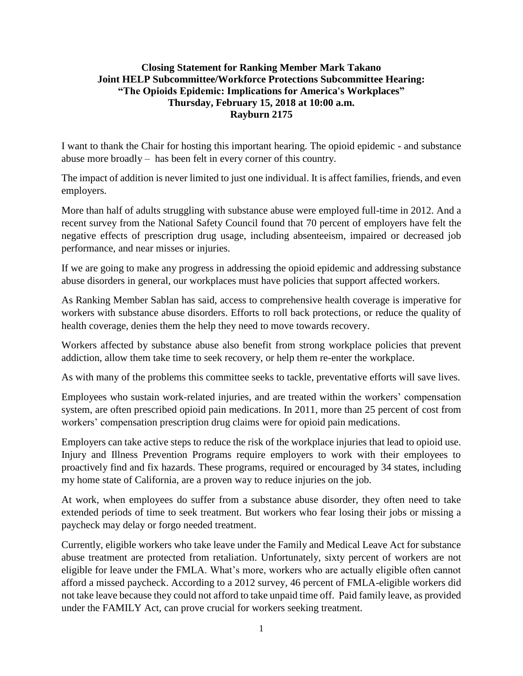## **Closing Statement for Ranking Member Mark Takano Joint HELP Subcommittee/Workforce Protections Subcommittee Hearing: "The Opioids Epidemic: Implications for America's Workplaces" Thursday, February 15, 2018 at 10:00 a.m. Rayburn 2175**

I want to thank the Chair for hosting this important hearing. The opioid epidemic - and substance abuse more broadly – has been felt in every corner of this country.

The impact of addition is never limited to just one individual. It is affect families, friends, and even employers.

More than half of adults struggling with substance abuse were employed full-time in 2012. And a recent survey from the National Safety Council found that 70 percent of employers have felt the negative effects of prescription drug usage, including absenteeism, impaired or decreased job performance, and near misses or injuries.

If we are going to make any progress in addressing the opioid epidemic and addressing substance abuse disorders in general, our workplaces must have policies that support affected workers.

As Ranking Member Sablan has said, access to comprehensive health coverage is imperative for workers with substance abuse disorders. Efforts to roll back protections, or reduce the quality of health coverage, denies them the help they need to move towards recovery.

Workers affected by substance abuse also benefit from strong workplace policies that prevent addiction, allow them take time to seek recovery, or help them re-enter the workplace.

As with many of the problems this committee seeks to tackle, preventative efforts will save lives.

Employees who sustain work-related injuries, and are treated within the workers' compensation system, are often prescribed opioid pain medications. In 2011, more than 25 percent of cost from workers' compensation prescription drug claims were for opioid pain medications.

Employers can take active steps to reduce the risk of the workplace injuries that lead to opioid use. Injury and Illness Prevention Programs require employers to work with their employees to proactively find and fix hazards. These programs, required or encouraged by 34 states, including my home state of California, are a proven way to reduce injuries on the job.

At work, when employees do suffer from a substance abuse disorder, they often need to take extended periods of time to seek treatment. But workers who fear losing their jobs or missing a paycheck may delay or forgo needed treatment.

Currently, eligible workers who take leave under the Family and Medical Leave Act for substance abuse treatment are protected from retaliation. Unfortunately, sixty percent of workers are not eligible for leave under the FMLA. What's more, workers who are actually eligible often cannot afford a missed paycheck. According to a 2012 survey, 46 percent of FMLA-eligible workers did not take leave because they could not afford to take unpaid time off. Paid family leave, as provided under the FAMILY Act, can prove crucial for workers seeking treatment.